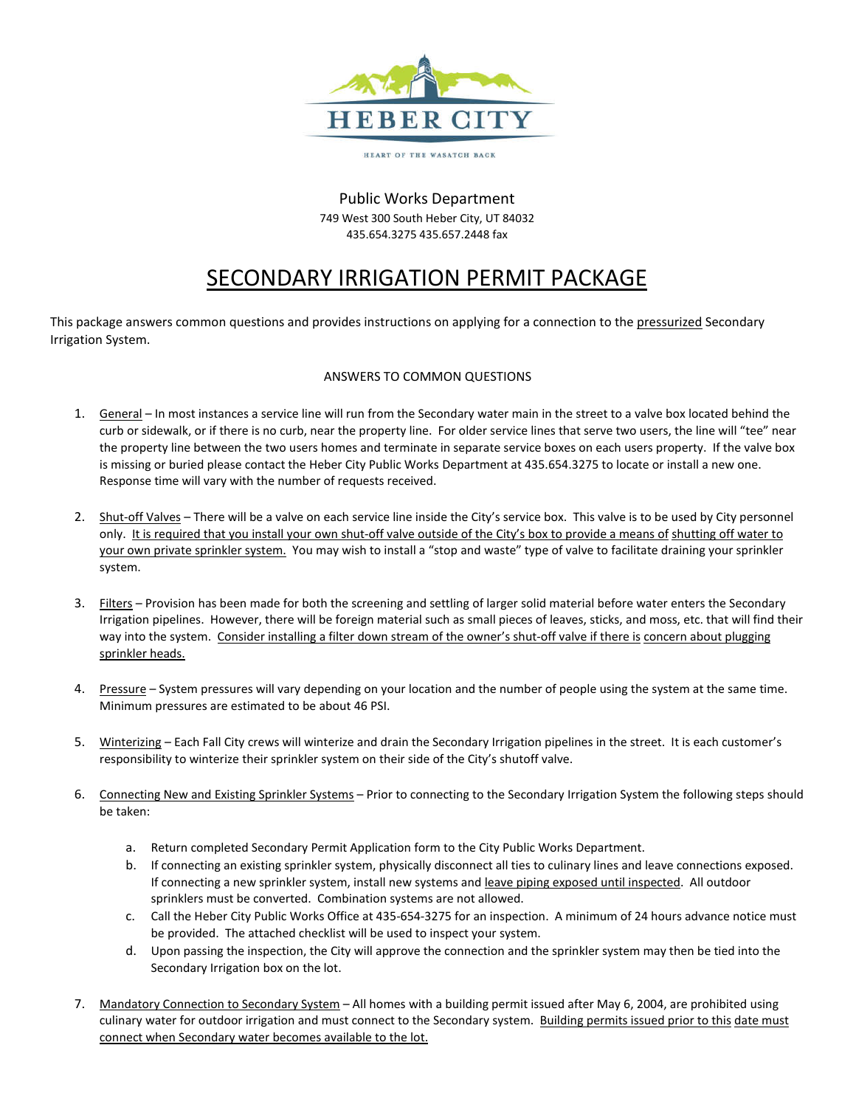

HEART OF THE WASATCH BACK

## Public Works Department 749 West 300 South Heber City, UT 84032 435.654.3275 435.657.2448 fax

# SECONDARY IRRIGATION PERMIT PACKAGE

This package answers common questions and provides instructions on applying for a connection to the pressurized Secondary Irrigation System.

# ANSWERS TO COMMON QUESTIONS

- 1. General In most instances a service line will run from the Secondary water main in the street to a valve box located behind the curb or sidewalk, or if there is no curb, near the property line. For older service lines that serve two users, the line will "tee" near the property line between the two users homes and terminate in separate service boxes on each users property. If the valve box is missing or buried please contact the Heber City Public Works Department at 435.654.3275 to locate or install a new one. Response time will vary with the number of requests received.
- 2. Shut-off Valves There will be a valve on each service line inside the City's service box. This valve is to be used by City personnel only. It is required that you install your own shut-off valve outside of the City's box to provide a means of shutting off water to your own private sprinkler system. You may wish to install a "stop and waste" type of valve to facilitate draining your sprinkler system.
- 3. Filters Provision has been made for both the screening and settling of larger solid material before water enters the Secondary Irrigation pipelines. However, there will be foreign material such as small pieces of leaves, sticks, and moss, etc. that will find their way into the system. Consider installing a filter down stream of the owner's shut-off valve if there is concern about plugging sprinkler heads.
- 4. Pressure System pressures will vary depending on your location and the number of people using the system at the same time. Minimum pressures are estimated to be about 46 PSI.
- 5. Winterizing Each Fall City crews will winterize and drain the Secondary Irrigation pipelines in the street. It is each customer's responsibility to winterize their sprinkler system on their side of the City's shutoff valve.
- 6. Connecting New and Existing Sprinkler Systems Prior to connecting to the Secondary Irrigation System the following steps should be taken:
	- a. Return completed Secondary Permit Application form to the City Public Works Department.
	- b. If connecting an existing sprinkler system, physically disconnect all ties to culinary lines and leave connections exposed. If connecting a new sprinkler system, install new systems and leave piping exposed until inspected. All outdoor sprinklers must be converted. Combination systems are not allowed.
	- c. Call the Heber City Public Works Office at 435-654-3275 for an inspection. A minimum of 24 hours advance notice must be provided. The attached checklist will be used to inspect your system.
	- d. Upon passing the inspection, the City will approve the connection and the sprinkler system may then be tied into the Secondary Irrigation box on the lot.
- 7. Mandatory Connection to Secondary System All homes with a building permit issued after May 6, 2004, are prohibited using culinary water for outdoor irrigation and must connect to the Secondary system. Building permits issued prior to this date must connect when Secondary water becomes available to the lot.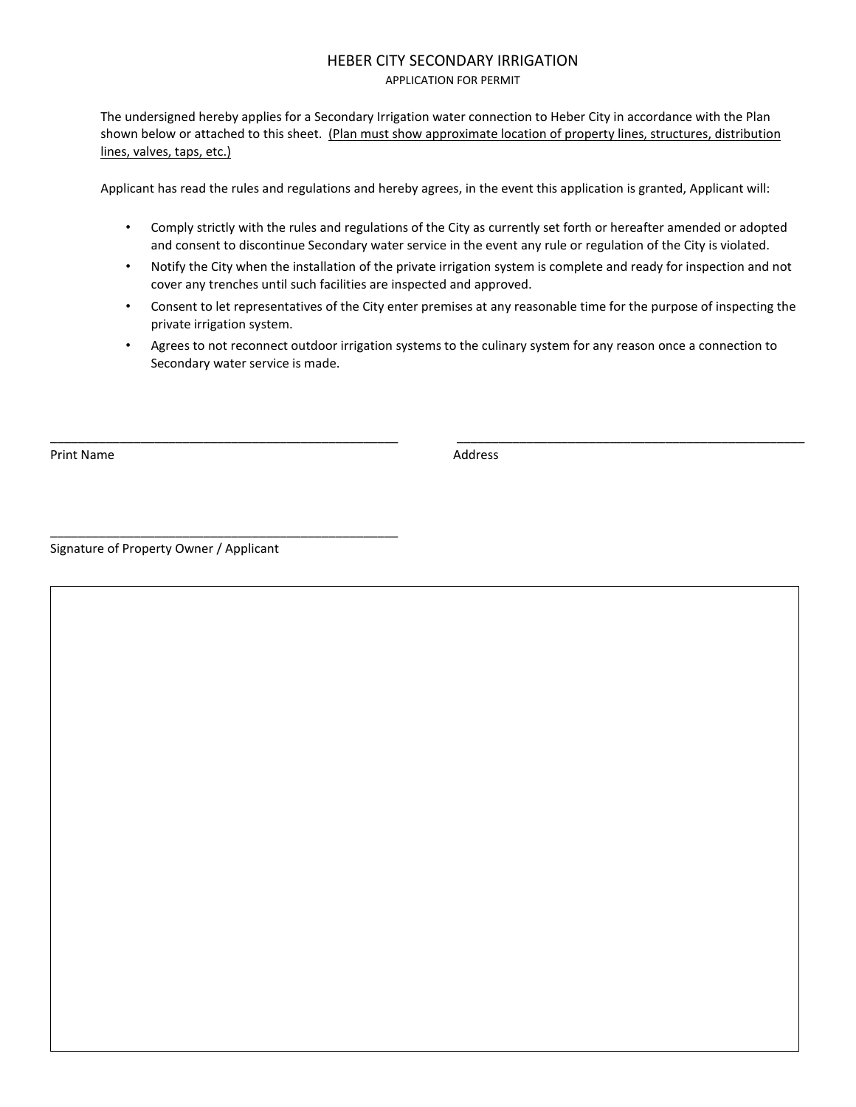## HEBER CITY SECONDARY IRRIGATION APPLICATION FOR PERMIT

The undersigned hereby applies for a Secondary Irrigation water connection to Heber City in accordance with the Plan shown below or attached to this sheet. (Plan must show approximate location of property lines, structures, distribution lines, valves, taps, etc.)

Applicant has read the rules and regulations and hereby agrees, in the event this application is granted, Applicant will:

- Comply strictly with the rules and regulations of the City as currently set forth or hereafter amended or adopted and consent to discontinue Secondary water service in the event any rule or regulation of the City is violated.
- Notify the City when the installation of the private irrigation system is complete and ready for inspection and not cover any trenches until such facilities are inspected and approved.
- Consent to let representatives of the City enter premises at any reasonable time for the purpose of inspecting the private irrigation system.
- Agrees to not reconnect outdoor irrigation systems to the culinary system for any reason once a connection to Secondary water service is made.

\_\_\_\_\_\_\_\_\_\_\_\_\_\_\_\_\_\_\_\_\_\_\_\_\_\_\_\_\_\_\_\_\_\_\_\_\_\_\_\_\_\_\_\_\_\_\_\_\_\_ \_\_\_\_\_\_\_\_\_\_\_\_\_\_\_\_\_\_\_\_\_\_\_\_\_\_\_\_\_\_\_\_\_\_\_\_\_\_\_\_\_\_\_\_\_\_\_\_\_\_

Print Name Address

Signature of Property Owner / Applicant

\_\_\_\_\_\_\_\_\_\_\_\_\_\_\_\_\_\_\_\_\_\_\_\_\_\_\_\_\_\_\_\_\_\_\_\_\_\_\_\_\_\_\_\_\_\_\_\_\_\_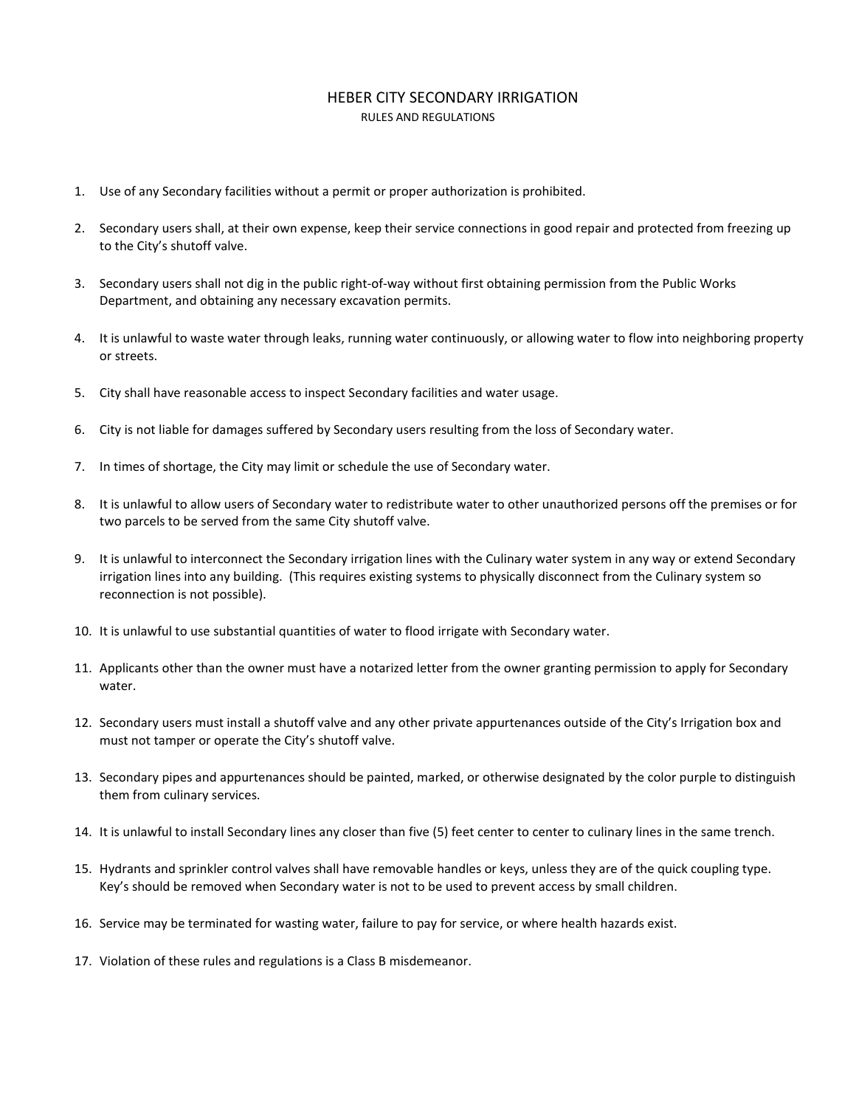### HEBER CITY SECONDARY IRRIGATION RULES AND REGULATIONS

- 1. Use of any Secondary facilities without a permit or proper authorization is prohibited.
- 2. Secondary users shall, at their own expense, keep their service connections in good repair and protected from freezing up to the City's shutoff valve.
- 3. Secondary users shall not dig in the public right-of-way without first obtaining permission from the Public Works Department, and obtaining any necessary excavation permits.
- 4. It is unlawful to waste water through leaks, running water continuously, or allowing water to flow into neighboring property or streets.
- 5. City shall have reasonable access to inspect Secondary facilities and water usage.
- 6. City is not liable for damages suffered by Secondary users resulting from the loss of Secondary water.
- 7. In times of shortage, the City may limit or schedule the use of Secondary water.
- 8. It is unlawful to allow users of Secondary water to redistribute water to other unauthorized persons off the premises or for two parcels to be served from the same City shutoff valve.
- 9. It is unlawful to interconnect the Secondary irrigation lines with the Culinary water system in any way or extend Secondary irrigation lines into any building. (This requires existing systems to physically disconnect from the Culinary system so reconnection is not possible).
- 10. It is unlawful to use substantial quantities of water to flood irrigate with Secondary water.
- 11. Applicants other than the owner must have a notarized letter from the owner granting permission to apply for Secondary water.
- 12. Secondary users must install a shutoff valve and any other private appurtenances outside of the City's Irrigation box and must not tamper or operate the City's shutoff valve.
- 13. Secondary pipes and appurtenances should be painted, marked, or otherwise designated by the color purple to distinguish them from culinary services.
- 14. It is unlawful to install Secondary lines any closer than five (5) feet center to center to culinary lines in the same trench.
- 15. Hydrants and sprinkler control valves shall have removable handles or keys, unless they are of the quick coupling type. Key's should be removed when Secondary water is not to be used to prevent access by small children.
- 16. Service may be terminated for wasting water, failure to pay for service, or where health hazards exist.
- 17. Violation of these rules and regulations is a Class B misdemeanor.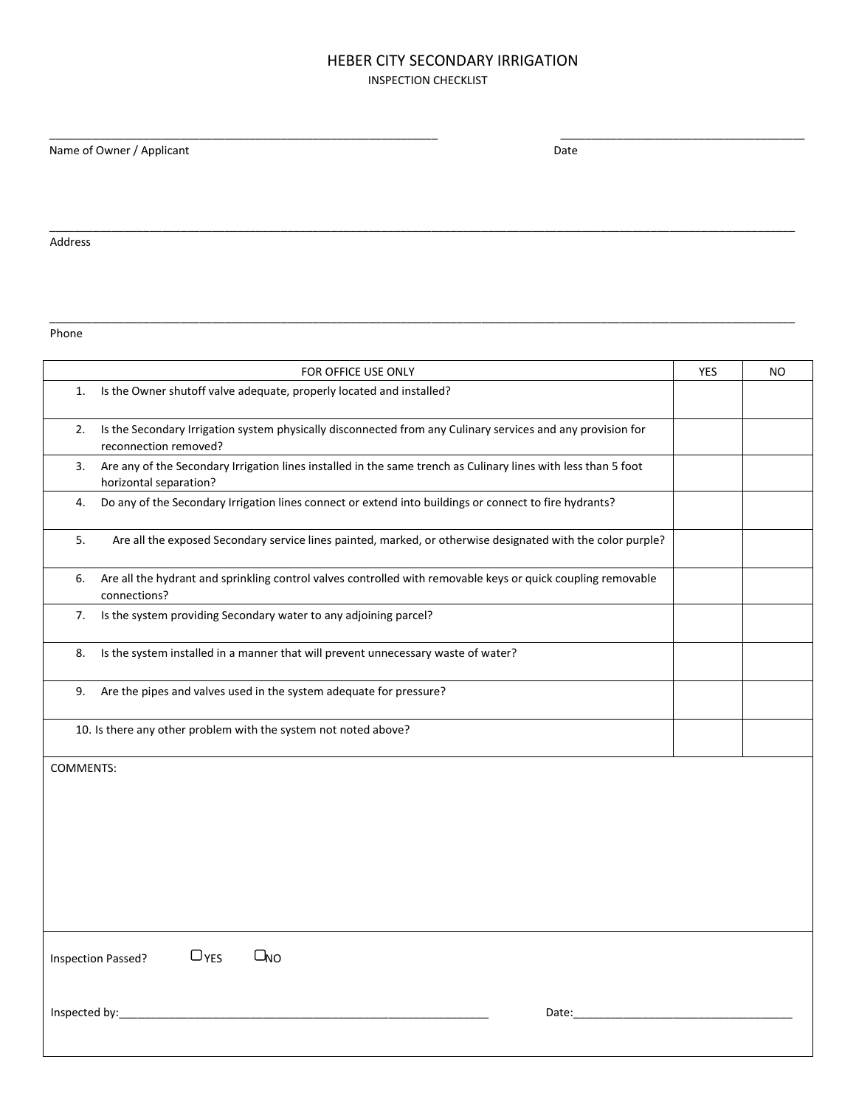#### HEBER CITY SECONDARY IRRIGATION INSPECTION CHECKLIST

\_\_\_\_\_\_\_\_\_\_\_\_\_\_\_\_\_\_\_\_\_\_\_\_\_\_\_\_\_\_\_\_\_\_\_\_\_\_\_\_\_\_\_\_\_\_\_\_\_\_\_\_\_\_\_\_\_\_\_\_\_\_ \_\_\_\_\_\_\_\_\_\_\_\_\_\_\_\_\_\_\_\_\_\_\_\_\_\_\_\_\_\_\_\_\_\_\_\_\_\_\_

\_\_\_\_\_\_\_\_\_\_\_\_\_\_\_\_\_\_\_\_\_\_\_\_\_\_\_\_\_\_\_\_\_\_\_\_\_\_\_\_\_\_\_\_\_\_\_\_\_\_\_\_\_\_\_\_\_\_\_\_\_\_\_\_\_\_\_\_\_\_\_\_\_\_\_\_\_\_\_\_\_\_\_\_\_\_\_\_\_\_\_\_\_\_\_\_\_\_\_\_\_\_\_\_\_\_\_\_\_\_\_\_\_\_\_\_\_\_\_

\_\_\_\_\_\_\_\_\_\_\_\_\_\_\_\_\_\_\_\_\_\_\_\_\_\_\_\_\_\_\_\_\_\_\_\_\_\_\_\_\_\_\_\_\_\_\_\_\_\_\_\_\_\_\_\_\_\_\_\_\_\_\_\_\_\_\_\_\_\_\_\_\_\_\_\_\_\_\_\_\_\_\_\_\_\_\_\_\_\_\_\_\_\_\_\_\_\_\_\_\_\_\_\_\_\_\_\_\_\_\_\_\_\_\_\_\_\_\_

Name of Owner / Applicant Date Date Date Date

Address

Phone

|                                                                 | FOR OFFICE USE ONLY                                                                                                                      | YES | <b>NO</b> |
|-----------------------------------------------------------------|------------------------------------------------------------------------------------------------------------------------------------------|-----|-----------|
| 1.                                                              | Is the Owner shutoff valve adequate, properly located and installed?                                                                     |     |           |
| 2.                                                              | Is the Secondary Irrigation system physically disconnected from any Culinary services and any provision for<br>reconnection removed?     |     |           |
| 3.                                                              | Are any of the Secondary Irrigation lines installed in the same trench as Culinary lines with less than 5 foot<br>horizontal separation? |     |           |
| 4.                                                              | Do any of the Secondary Irrigation lines connect or extend into buildings or connect to fire hydrants?                                   |     |           |
| 5.                                                              | Are all the exposed Secondary service lines painted, marked, or otherwise designated with the color purple?                              |     |           |
| 6.                                                              | Are all the hydrant and sprinkling control valves controlled with removable keys or quick coupling removable<br>connections?             |     |           |
| 7.                                                              | Is the system providing Secondary water to any adjoining parcel?                                                                         |     |           |
| 8.                                                              | Is the system installed in a manner that will prevent unnecessary waste of water?                                                        |     |           |
| 9.                                                              | Are the pipes and valves used in the system adequate for pressure?                                                                       |     |           |
| 10. Is there any other problem with the system not noted above? |                                                                                                                                          |     |           |
| <b>COMMENTS:</b>                                                |                                                                                                                                          |     |           |
|                                                                 |                                                                                                                                          |     |           |
|                                                                 |                                                                                                                                          |     |           |
|                                                                 |                                                                                                                                          |     |           |
|                                                                 |                                                                                                                                          |     |           |
| $\Box$ YES<br>$\Box_{NO}$<br>Inspection Passed?                 |                                                                                                                                          |     |           |
| Inspected by:                                                   | Date:                                                                                                                                    |     |           |